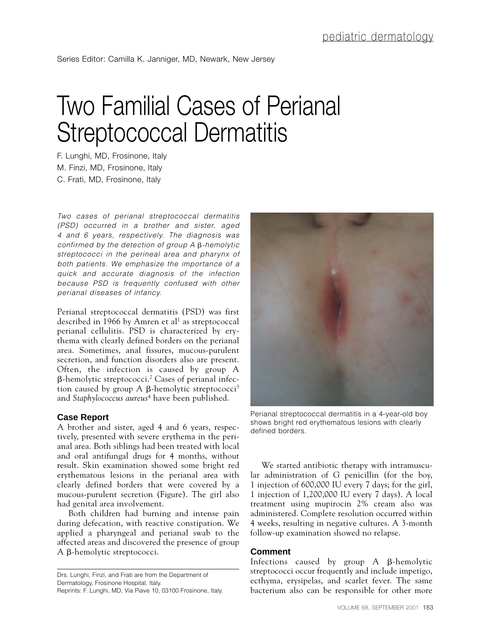## Two Familial Cases of Perianal Streptococcal Dermatitis

F. Lunghi, MD, Frosinone, Italy M. Finzi, MD, Frosinone, Italy C. Frati, MD, Frosinone, Italy

*Two cases of perianal streptococcal dermatitis (PSD) occurred in a brother and sister, aged 4 and 6 years, respectively. The diagnosis was confirmed by the detection of group A -hemolytic streptococci in the perineal area and pharynx of both patients. We emphasize the importance of a quick and accurate diagnosis of the infection because PSD is frequently confused with other perianal diseases of infancy.*

Perianal streptococcal dermatitis (PSD) was first described in 1966 by Amren et al<sup>1</sup> as streptococcal perianal cellulitis. PSD is characterized by erythema with clearly defined borders on the perianal area. Sometimes, anal fissures, mucous-purulent secretion, and function disorders also are present. Often, the infection is caused by group A  $\beta$ -hemolytic streptococci.<sup>2</sup> Cases of perianal infection caused by group A  $\beta$ -hemolytic streptococci<sup>3</sup> and *Staphylococcus aureus*<sup>4</sup> have been published.

## **Case Report**

A brother and sister, aged 4 and 6 years, respectively, presented with severe erythema in the perianal area. Both siblings had been treated with local and oral antifungal drugs for 4 months, without result. Skin examination showed some bright red erythematous lesions in the perianal area with clearly defined borders that were covered by a mucous-purulent secretion (Figure). The girl also had genital area involvement.

Both children had burning and intense pain during defecation, with reactive constipation. We applied a pharyngeal and perianal swab to the affected areas and discovered the presence of group  $A$   $\beta$ -hemolytic streptococci.

Drs. Lunghi, Finzi, and Frati are from the Department of Dermatology, Frosinone Hospital, Italy. Reprints: F. Lunghi, MD, Via Piave 10, 03100 Frosinone, Italy.



Perianal streptococcal dermatitis in a 4-year-old boy shows bright red erythematous lesions with clearly defined borders.

We started antibiotic therapy with intramuscular administration of G penicillin (for the boy, 1 injection of 600,000 IU every 7 days; for the girl, 1 injection of 1,200,000 IU every 7 days). A local treatment using mupirocin 2% cream also was administered. Complete resolution occurred within 4 weeks, resulting in negative cultures. A 3-month follow-up examination showed no relapse.

## **Comment**

Infections caused by group  $A$   $\beta$ -hemolytic streptococci occur frequently and include impetigo, ecthyma, erysipelas, and scarlet fever. The same bacterium also can be responsible for other more